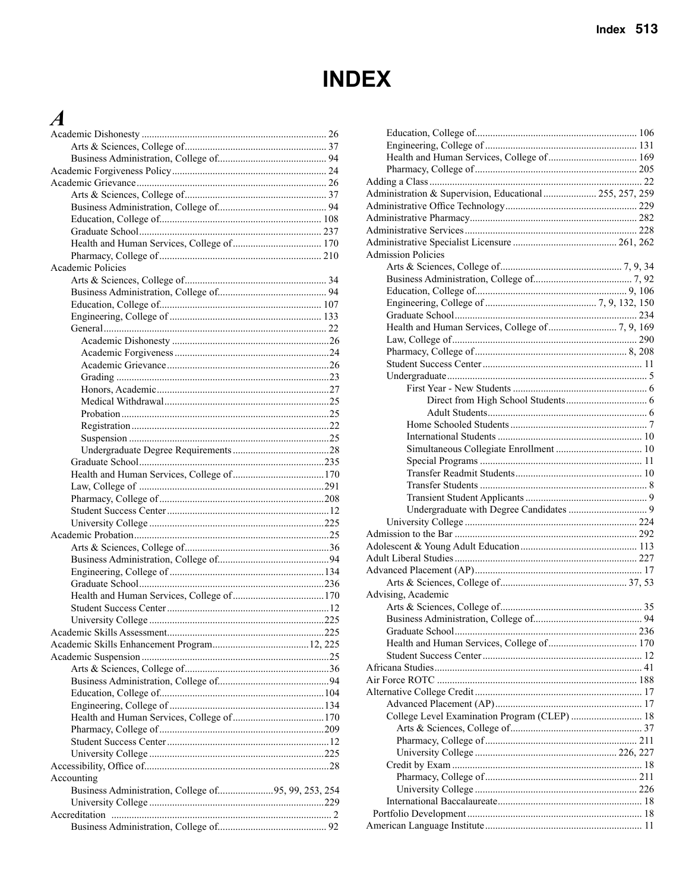#### **INDEX**

#### $\boldsymbol{A}$

| Academic Policies                                   |  |
|-----------------------------------------------------|--|
|                                                     |  |
|                                                     |  |
|                                                     |  |
|                                                     |  |
|                                                     |  |
|                                                     |  |
|                                                     |  |
|                                                     |  |
|                                                     |  |
|                                                     |  |
|                                                     |  |
|                                                     |  |
|                                                     |  |
|                                                     |  |
|                                                     |  |
|                                                     |  |
|                                                     |  |
|                                                     |  |
|                                                     |  |
|                                                     |  |
|                                                     |  |
|                                                     |  |
|                                                     |  |
|                                                     |  |
|                                                     |  |
|                                                     |  |
|                                                     |  |
|                                                     |  |
|                                                     |  |
|                                                     |  |
|                                                     |  |
|                                                     |  |
|                                                     |  |
|                                                     |  |
|                                                     |  |
|                                                     |  |
|                                                     |  |
|                                                     |  |
|                                                     |  |
|                                                     |  |
|                                                     |  |
| Accounting                                          |  |
| Business Administration, College of95, 99, 253, 254 |  |
|                                                     |  |
|                                                     |  |
|                                                     |  |
|                                                     |  |

| Administration & Supervision, Educational  255, 257, 259 |  |
|----------------------------------------------------------|--|
|                                                          |  |
|                                                          |  |
|                                                          |  |
|                                                          |  |
| <b>Admission Policies</b>                                |  |
|                                                          |  |
|                                                          |  |
|                                                          |  |
|                                                          |  |
|                                                          |  |
|                                                          |  |
|                                                          |  |
|                                                          |  |
|                                                          |  |
|                                                          |  |
|                                                          |  |
|                                                          |  |
|                                                          |  |
|                                                          |  |
|                                                          |  |
|                                                          |  |
|                                                          |  |
|                                                          |  |
|                                                          |  |
|                                                          |  |
|                                                          |  |
|                                                          |  |
|                                                          |  |
|                                                          |  |
|                                                          |  |
|                                                          |  |
|                                                          |  |
|                                                          |  |
| Advising, Academic                                       |  |
|                                                          |  |
|                                                          |  |
|                                                          |  |
|                                                          |  |
|                                                          |  |
|                                                          |  |
|                                                          |  |
|                                                          |  |
|                                                          |  |
|                                                          |  |
| College Level Examination Program (CLEP)  18             |  |
|                                                          |  |
|                                                          |  |
|                                                          |  |
|                                                          |  |
|                                                          |  |
|                                                          |  |
|                                                          |  |
|                                                          |  |
|                                                          |  |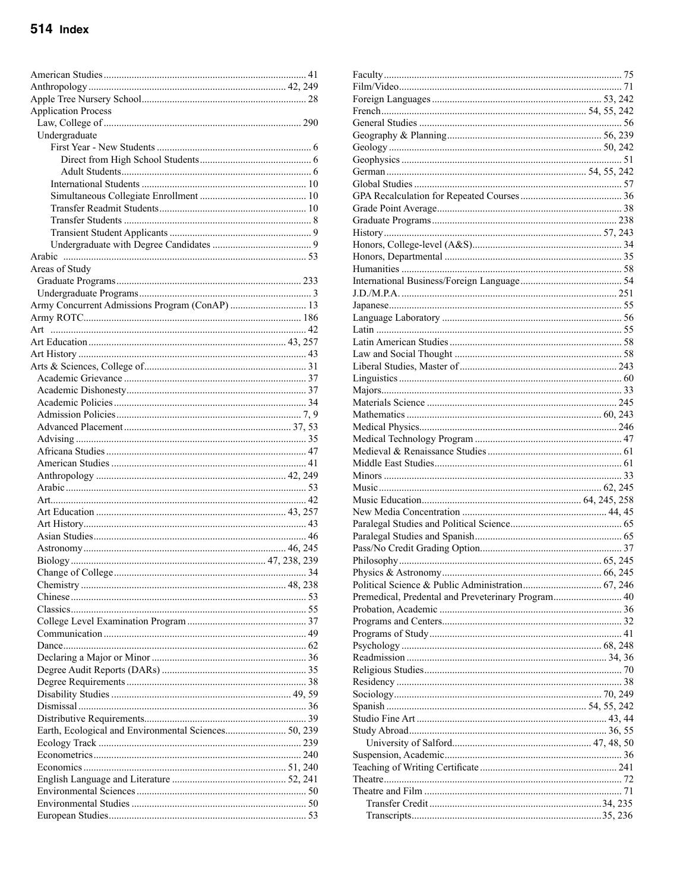| <b>Application Process</b>                     |  |
|------------------------------------------------|--|
|                                                |  |
| Undergraduate                                  |  |
|                                                |  |
|                                                |  |
|                                                |  |
|                                                |  |
|                                                |  |
|                                                |  |
|                                                |  |
|                                                |  |
|                                                |  |
|                                                |  |
| Areas of Study                                 |  |
|                                                |  |
|                                                |  |
| Army Concurrent Admissions Program (ConAP)  13 |  |
|                                                |  |
|                                                |  |
|                                                |  |
|                                                |  |
|                                                |  |
|                                                |  |
|                                                |  |
|                                                |  |
|                                                |  |
|                                                |  |
|                                                |  |
|                                                |  |
|                                                |  |
|                                                |  |
|                                                |  |
|                                                |  |
|                                                |  |
|                                                |  |
|                                                |  |
|                                                |  |
|                                                |  |
|                                                |  |
|                                                |  |
|                                                |  |
|                                                |  |
|                                                |  |
|                                                |  |
|                                                |  |
|                                                |  |
|                                                |  |
|                                                |  |
|                                                |  |
|                                                |  |
|                                                |  |
|                                                |  |
|                                                |  |
|                                                |  |
|                                                |  |
|                                                |  |
|                                                |  |
|                                                |  |
|                                                |  |
|                                                |  |

| Premedical, Predental and Preveterinary Program 40 |  |
|----------------------------------------------------|--|
|                                                    |  |
|                                                    |  |
|                                                    |  |
|                                                    |  |
|                                                    |  |
|                                                    |  |
|                                                    |  |
|                                                    |  |
|                                                    |  |
|                                                    |  |
|                                                    |  |
|                                                    |  |
|                                                    |  |
|                                                    |  |
|                                                    |  |
|                                                    |  |
|                                                    |  |
|                                                    |  |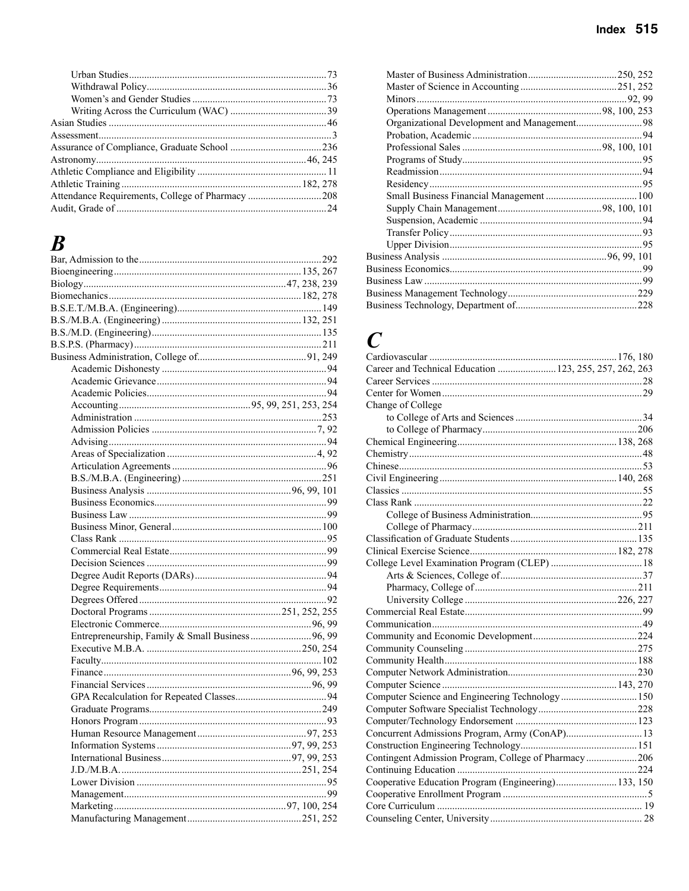#### $\boldsymbol{B}$

| Entrepreneurship, Family & Small Business 96, 99 |  |
|--------------------------------------------------|--|
|                                                  |  |
|                                                  |  |
|                                                  |  |
|                                                  |  |
|                                                  |  |
|                                                  |  |
|                                                  |  |
|                                                  |  |
|                                                  |  |
|                                                  |  |
|                                                  |  |
|                                                  |  |
|                                                  |  |
|                                                  |  |
|                                                  |  |
|                                                  |  |

| Organizational Development and Management98 |  |
|---------------------------------------------|--|
|                                             |  |
|                                             |  |
|                                             |  |
|                                             |  |
|                                             |  |
|                                             |  |
|                                             |  |
|                                             |  |
|                                             |  |
|                                             |  |
|                                             |  |
|                                             |  |
|                                             |  |
|                                             |  |
|                                             |  |

#### $\overline{C}$

| Career and Technical Education  123, 255, 257, 262, 263 |  |
|---------------------------------------------------------|--|
|                                                         |  |
|                                                         |  |
| Change of College                                       |  |
|                                                         |  |
|                                                         |  |
|                                                         |  |
|                                                         |  |
|                                                         |  |
|                                                         |  |
|                                                         |  |
|                                                         |  |
|                                                         |  |
|                                                         |  |
|                                                         |  |
|                                                         |  |
|                                                         |  |
|                                                         |  |
|                                                         |  |
|                                                         |  |
|                                                         |  |
|                                                         |  |
|                                                         |  |
|                                                         |  |
|                                                         |  |
|                                                         |  |
|                                                         |  |
| Computer Science and Engineering Technology 150         |  |
|                                                         |  |
|                                                         |  |
| Concurrent Admissions Program, Army (ConAP) 13          |  |
|                                                         |  |
| Contingent Admission Program, College of Pharmacy206    |  |
|                                                         |  |
| Cooperative Education Program (Engineering) 133, 150    |  |
|                                                         |  |
|                                                         |  |
|                                                         |  |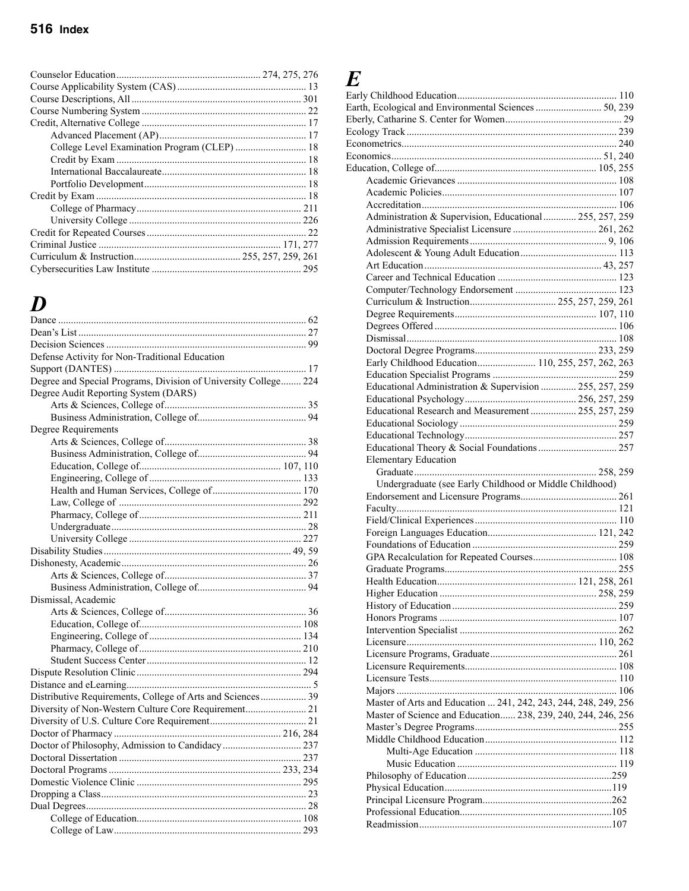| College Level Examination Program (CLEP)  18 |  |
|----------------------------------------------|--|
|                                              |  |
|                                              |  |
|                                              |  |
|                                              |  |
|                                              |  |
|                                              |  |
|                                              |  |
|                                              |  |
|                                              |  |
|                                              |  |

### *D*

| Defense Activity for Non-Traditional Education                  |  |
|-----------------------------------------------------------------|--|
|                                                                 |  |
| Degree and Special Programs, Division of University College 224 |  |
| Degree Audit Reporting System (DARS)                            |  |
|                                                                 |  |
|                                                                 |  |
| Degree Requirements                                             |  |
|                                                                 |  |
|                                                                 |  |
|                                                                 |  |
|                                                                 |  |
|                                                                 |  |
|                                                                 |  |
|                                                                 |  |
|                                                                 |  |
|                                                                 |  |
|                                                                 |  |
|                                                                 |  |
|                                                                 |  |
|                                                                 |  |
| Dismissal, Academic                                             |  |
|                                                                 |  |
|                                                                 |  |
|                                                                 |  |
|                                                                 |  |
|                                                                 |  |
|                                                                 |  |
|                                                                 |  |
| Distributive Requirements, College of Arts and Sciences 39      |  |
| Diversity of Non-Western Culture Core Requirement 21            |  |
|                                                                 |  |
|                                                                 |  |
|                                                                 |  |
|                                                                 |  |
|                                                                 |  |
|                                                                 |  |
|                                                                 |  |
|                                                                 |  |
|                                                                 |  |
|                                                                 |  |
|                                                                 |  |

# $E$ <br>Earl<sub>:</sub><br>Eart

| Administration & Supervision, Educational  255, 257, 259        |  |
|-----------------------------------------------------------------|--|
|                                                                 |  |
|                                                                 |  |
|                                                                 |  |
|                                                                 |  |
|                                                                 |  |
|                                                                 |  |
|                                                                 |  |
|                                                                 |  |
|                                                                 |  |
|                                                                 |  |
|                                                                 |  |
| Early Childhood Education 110, 255, 257, 262, 263               |  |
|                                                                 |  |
| Educational Administration & Supervision  255, 257, 259         |  |
|                                                                 |  |
| Educational Research and Measurement  255, 257, 259             |  |
|                                                                 |  |
|                                                                 |  |
|                                                                 |  |
| <b>Elementary Education</b>                                     |  |
|                                                                 |  |
|                                                                 |  |
|                                                                 |  |
| Undergraduate (see Early Childhood or Middle Childhood)         |  |
|                                                                 |  |
|                                                                 |  |
|                                                                 |  |
|                                                                 |  |
|                                                                 |  |
| GPA Recalculation for Repeated Courses 108                      |  |
|                                                                 |  |
|                                                                 |  |
|                                                                 |  |
|                                                                 |  |
|                                                                 |  |
|                                                                 |  |
|                                                                 |  |
|                                                                 |  |
|                                                                 |  |
|                                                                 |  |
|                                                                 |  |
| Master of Arts and Education  241, 242, 243, 244, 248, 249, 256 |  |
| Master of Science and Education 238, 239, 240, 244, 246, 256    |  |
|                                                                 |  |
|                                                                 |  |
|                                                                 |  |
|                                                                 |  |
|                                                                 |  |
|                                                                 |  |
|                                                                 |  |
|                                                                 |  |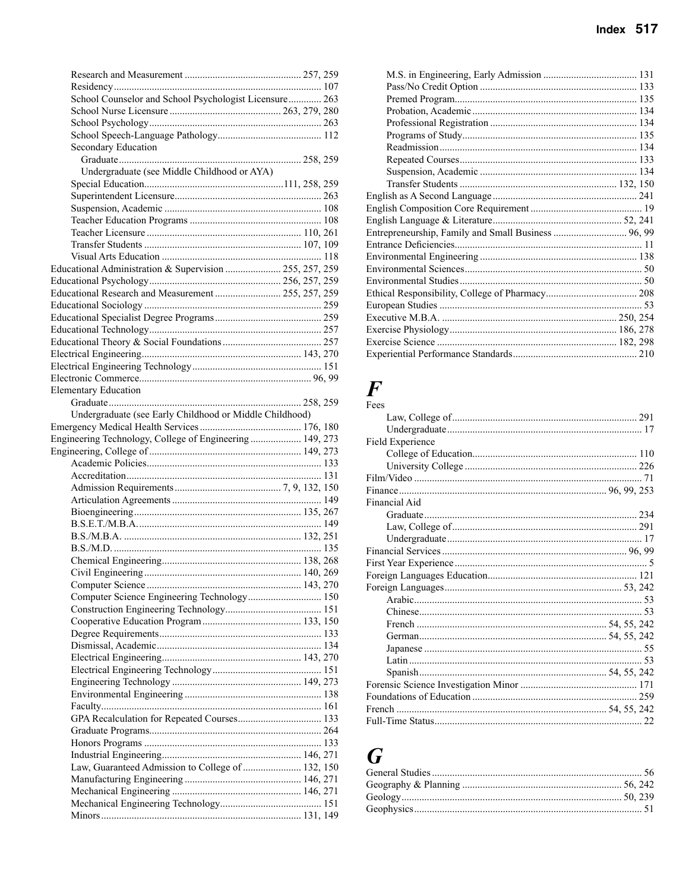| Index $517$ |  |
|-------------|--|
|             |  |
| 131         |  |
|             |  |

| School Counselor and School Psychologist Licensure 263   |  |
|----------------------------------------------------------|--|
|                                                          |  |
|                                                          |  |
|                                                          |  |
| Secondary Education                                      |  |
|                                                          |  |
|                                                          |  |
| Undergraduate (see Middle Childhood or AYA)              |  |
|                                                          |  |
|                                                          |  |
|                                                          |  |
|                                                          |  |
|                                                          |  |
|                                                          |  |
|                                                          |  |
|                                                          |  |
| Educational Administration & Supervision  255, 257, 259  |  |
|                                                          |  |
| Educational Research and Measurement  255, 257, 259      |  |
|                                                          |  |
|                                                          |  |
|                                                          |  |
|                                                          |  |
|                                                          |  |
|                                                          |  |
|                                                          |  |
|                                                          |  |
| <b>Elementary Education</b>                              |  |
|                                                          |  |
| Undergraduate (see Early Childhood or Middle Childhood)  |  |
|                                                          |  |
| Engineering Technology, College of Engineering  149, 273 |  |
|                                                          |  |
|                                                          |  |
|                                                          |  |
|                                                          |  |
|                                                          |  |
|                                                          |  |
|                                                          |  |
|                                                          |  |
|                                                          |  |
|                                                          |  |
|                                                          |  |
|                                                          |  |
|                                                          |  |
|                                                          |  |
|                                                          |  |
|                                                          |  |
|                                                          |  |
|                                                          |  |
|                                                          |  |
|                                                          |  |
|                                                          |  |
|                                                          |  |
|                                                          |  |
|                                                          |  |
|                                                          |  |
|                                                          |  |
|                                                          |  |
|                                                          |  |
|                                                          |  |
|                                                          |  |
|                                                          |  |
| Law, Guaranteed Admission to College of  132, 150        |  |
|                                                          |  |
|                                                          |  |
|                                                          |  |

#### $\boldsymbol{F}$

| rees             |  |
|------------------|--|
|                  |  |
|                  |  |
| Field Experience |  |
|                  |  |
|                  |  |
|                  |  |
|                  |  |
| Financial Aid    |  |
|                  |  |
|                  |  |
|                  |  |
|                  |  |
|                  |  |
|                  |  |
|                  |  |
|                  |  |
|                  |  |
|                  |  |
|                  |  |
|                  |  |
|                  |  |
|                  |  |
|                  |  |
|                  |  |
|                  |  |
|                  |  |

#### $\boldsymbol{G}$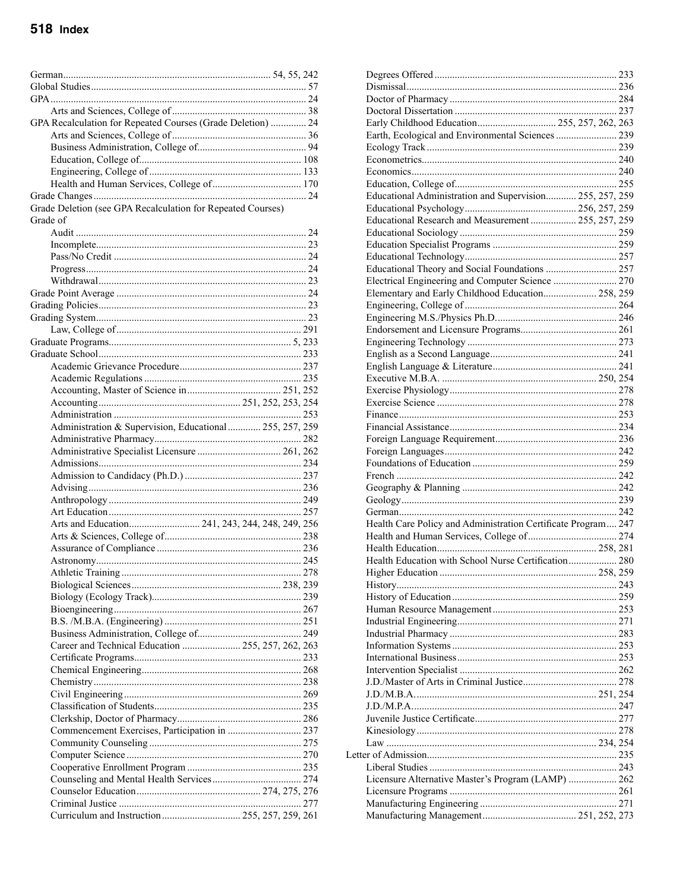#### 518 Index

| GPA Recalculation for Repeated Courses (Grade Deletion)  24 |  |
|-------------------------------------------------------------|--|
|                                                             |  |
|                                                             |  |
|                                                             |  |
|                                                             |  |
|                                                             |  |
| Grade Deletion (see GPA Recalculation for Repeated Courses) |  |
| Grade of                                                    |  |
|                                                             |  |
|                                                             |  |
|                                                             |  |
|                                                             |  |
|                                                             |  |
|                                                             |  |
|                                                             |  |
|                                                             |  |
|                                                             |  |
|                                                             |  |
|                                                             |  |
|                                                             |  |
|                                                             |  |
|                                                             |  |
|                                                             |  |
|                                                             |  |
| Administration & Supervision, Educational  255, 257, 259    |  |
|                                                             |  |
|                                                             |  |
|                                                             |  |
|                                                             |  |
|                                                             |  |
|                                                             |  |
|                                                             |  |
|                                                             |  |
|                                                             |  |
|                                                             |  |
|                                                             |  |
|                                                             |  |
| <b>Athletic Training</b>                                    |  |
|                                                             |  |
|                                                             |  |
|                                                             |  |
|                                                             |  |
|                                                             |  |
| Career and Technical Education  255, 257, 262, 263          |  |
|                                                             |  |
|                                                             |  |
|                                                             |  |
|                                                             |  |
|                                                             |  |
|                                                             |  |
|                                                             |  |
|                                                             |  |
|                                                             |  |
|                                                             |  |
|                                                             |  |
|                                                             |  |
|                                                             |  |

| Early Childhood Education 255, 257, 262, 263                  |  |  |
|---------------------------------------------------------------|--|--|
| Earth, Ecological and Environmental Sciences  239             |  |  |
|                                                               |  |  |
|                                                               |  |  |
|                                                               |  |  |
|                                                               |  |  |
| Educational Administration and Supervision 255, 257, 259      |  |  |
|                                                               |  |  |
| Educational Research and Measurement  255, 257, 259           |  |  |
|                                                               |  |  |
|                                                               |  |  |
|                                                               |  |  |
| Educational Theory and Social Foundations  257                |  |  |
| Electrical Engineering and Computer Science  270              |  |  |
| Elementary and Early Childhood Education 258, 259             |  |  |
|                                                               |  |  |
|                                                               |  |  |
|                                                               |  |  |
|                                                               |  |  |
|                                                               |  |  |
|                                                               |  |  |
|                                                               |  |  |
|                                                               |  |  |
|                                                               |  |  |
|                                                               |  |  |
|                                                               |  |  |
|                                                               |  |  |
|                                                               |  |  |
|                                                               |  |  |
|                                                               |  |  |
|                                                               |  |  |
|                                                               |  |  |
|                                                               |  |  |
|                                                               |  |  |
| Health Care Policy and Administration Certificate Program 247 |  |  |
|                                                               |  |  |
|                                                               |  |  |
| Health Education with School Nurse Certification 280          |  |  |
|                                                               |  |  |
|                                                               |  |  |
|                                                               |  |  |
|                                                               |  |  |
|                                                               |  |  |
|                                                               |  |  |
|                                                               |  |  |
|                                                               |  |  |
|                                                               |  |  |
|                                                               |  |  |
|                                                               |  |  |
|                                                               |  |  |
|                                                               |  |  |
|                                                               |  |  |
|                                                               |  |  |
|                                                               |  |  |
|                                                               |  |  |
|                                                               |  |  |
| Licensure Alternative Master's Program (LAMP)  262            |  |  |
|                                                               |  |  |
|                                                               |  |  |
|                                                               |  |  |
|                                                               |  |  |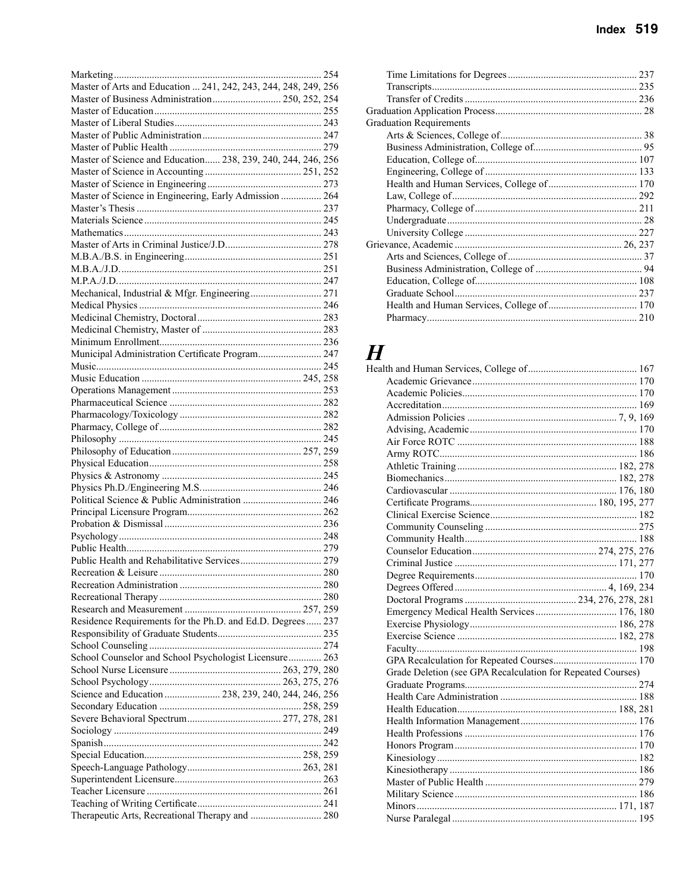|                      | Index $519$ |  |
|----------------------|-------------|--|
|                      |             |  |
|                      |             |  |
|                      |             |  |
|                      |             |  |
|                      |             |  |
| duation Requirements |             |  |

| Master of Arts and Education  241, 242, 243, 244, 248, 249, 256 |
|-----------------------------------------------------------------|
| Master of Business Administration 250, 252, 254                 |
|                                                                 |
|                                                                 |
|                                                                 |
|                                                                 |
| Master of Science and Education 238, 239, 240, 244, 246, 256    |
|                                                                 |
|                                                                 |
|                                                                 |
| Master of Science in Engineering, Early Admission  264          |
|                                                                 |
|                                                                 |
|                                                                 |
|                                                                 |
|                                                                 |
|                                                                 |
|                                                                 |
|                                                                 |
| Mechanical, Industrial & Mfgr. Engineering 271                  |
|                                                                 |
|                                                                 |
|                                                                 |
|                                                                 |
| Municipal Administration Certificate Program 247                |
|                                                                 |
|                                                                 |
|                                                                 |
|                                                                 |
|                                                                 |
|                                                                 |
|                                                                 |
|                                                                 |
|                                                                 |
|                                                                 |
|                                                                 |
|                                                                 |
|                                                                 |
|                                                                 |
|                                                                 |
|                                                                 |
|                                                                 |
|                                                                 |
|                                                                 |
|                                                                 |
|                                                                 |
|                                                                 |
|                                                                 |
|                                                                 |
| Residence Requirements for the Ph.D. and Ed.D. Degrees 237      |
|                                                                 |
|                                                                 |
|                                                                 |
|                                                                 |
| School Counselor and School Psychologist Licensure 263          |
|                                                                 |
|                                                                 |
| Science and Education  238, 239, 240, 244, 246, 256             |
|                                                                 |
|                                                                 |
|                                                                 |
|                                                                 |
|                                                                 |
|                                                                 |
|                                                                 |
|                                                                 |
|                                                                 |
| Therapeutic Arts, Recreational Therapy and  280                 |

| 235 |
|-----|
|     |
|     |
|     |
|     |
|     |
|     |
|     |
|     |
|     |
|     |
|     |
|     |
|     |
|     |
|     |
|     |
|     |
|     |
|     |
|     |

## $H_{\text{Health}}$

| Emergency Medical Health Services  176, 180                 |  |
|-------------------------------------------------------------|--|
|                                                             |  |
|                                                             |  |
|                                                             |  |
|                                                             |  |
| Grade Deletion (see GPA Recalculation for Repeated Courses) |  |
|                                                             |  |
|                                                             |  |
|                                                             |  |
|                                                             |  |
|                                                             |  |
|                                                             |  |
|                                                             |  |
|                                                             |  |
|                                                             |  |
|                                                             |  |
|                                                             |  |
|                                                             |  |
|                                                             |  |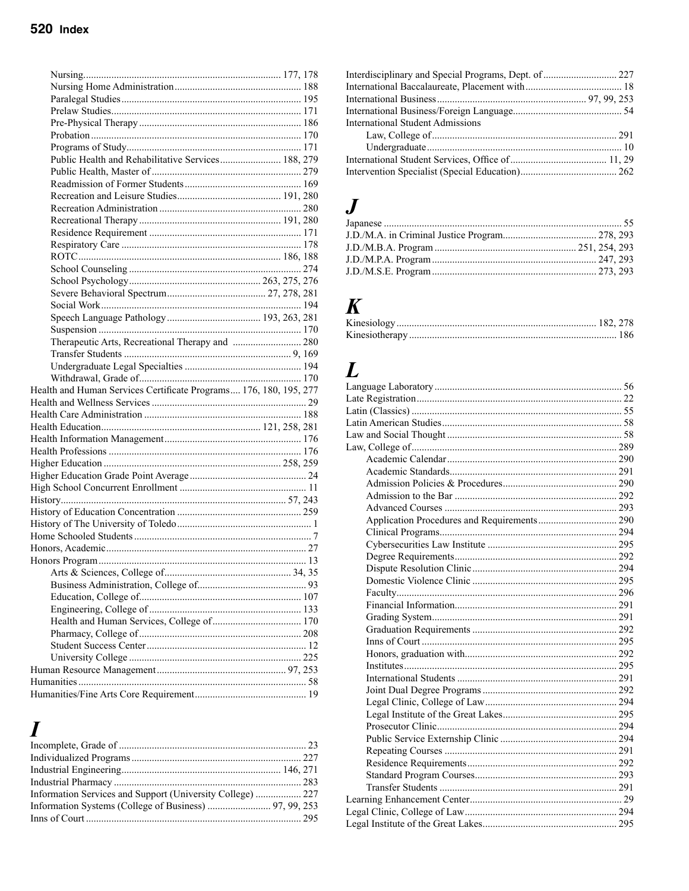| Public Health and Rehabilitative Services 188, 279                |  |
|-------------------------------------------------------------------|--|
|                                                                   |  |
|                                                                   |  |
|                                                                   |  |
|                                                                   |  |
|                                                                   |  |
|                                                                   |  |
|                                                                   |  |
|                                                                   |  |
|                                                                   |  |
|                                                                   |  |
|                                                                   |  |
|                                                                   |  |
|                                                                   |  |
|                                                                   |  |
| Therapeutic Arts, Recreational Therapy and  280                   |  |
|                                                                   |  |
|                                                                   |  |
|                                                                   |  |
|                                                                   |  |
|                                                                   |  |
| Health and Human Services Certificate Programs 176, 180, 195, 277 |  |
|                                                                   |  |
|                                                                   |  |
|                                                                   |  |
|                                                                   |  |
|                                                                   |  |
|                                                                   |  |
|                                                                   |  |
|                                                                   |  |
|                                                                   |  |
|                                                                   |  |
|                                                                   |  |
|                                                                   |  |
|                                                                   |  |
|                                                                   |  |
|                                                                   |  |
|                                                                   |  |
|                                                                   |  |
|                                                                   |  |
|                                                                   |  |
|                                                                   |  |
|                                                                   |  |
|                                                                   |  |
|                                                                   |  |
|                                                                   |  |

#### $\boldsymbol{I}$

| <b>International Student Admissions</b> |  |
|-----------------------------------------|--|
|                                         |  |
|                                         |  |
|                                         |  |
|                                         |  |

#### $\boldsymbol{J}$

#### $\boldsymbol{K}$

# $L_{\text{Lan}}$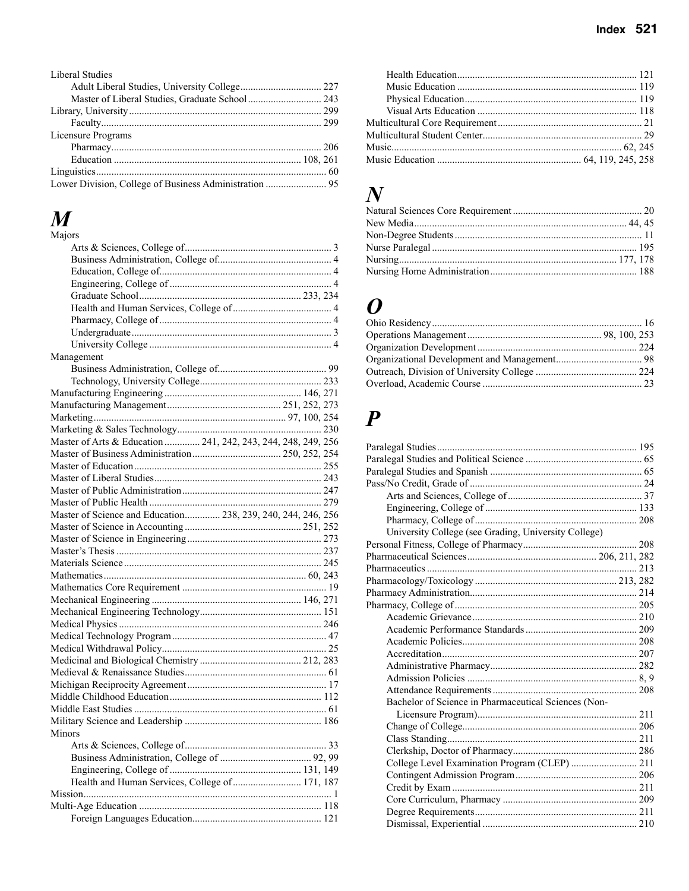| Liberal Studies    |  |
|--------------------|--|
|                    |  |
|                    |  |
|                    |  |
|                    |  |
| Licensure Programs |  |
|                    |  |
|                    |  |
|                    |  |
|                    |  |

#### *M*

| Majors                                                        |  |
|---------------------------------------------------------------|--|
|                                                               |  |
|                                                               |  |
|                                                               |  |
|                                                               |  |
|                                                               |  |
|                                                               |  |
|                                                               |  |
|                                                               |  |
|                                                               |  |
| Management                                                    |  |
|                                                               |  |
|                                                               |  |
|                                                               |  |
|                                                               |  |
|                                                               |  |
|                                                               |  |
| Master of Arts & Education  241, 242, 243, 244, 248, 249, 256 |  |
|                                                               |  |
|                                                               |  |
|                                                               |  |
|                                                               |  |
|                                                               |  |
| Master of Science and Education 238, 239, 240, 244, 246, 256  |  |
|                                                               |  |
|                                                               |  |
|                                                               |  |
|                                                               |  |
|                                                               |  |
|                                                               |  |
|                                                               |  |
|                                                               |  |
|                                                               |  |
|                                                               |  |
|                                                               |  |
|                                                               |  |
|                                                               |  |
|                                                               |  |
|                                                               |  |
|                                                               |  |
|                                                               |  |
| <b>Minors</b>                                                 |  |
|                                                               |  |
|                                                               |  |
|                                                               |  |
|                                                               |  |
| Health and Human Services, College of  171, 187               |  |
|                                                               |  |
|                                                               |  |
|                                                               |  |

#### *N*

#### *O*

#### *P*

| University College (see Grading, University College) |  |
|------------------------------------------------------|--|
|                                                      |  |
|                                                      |  |
|                                                      |  |
|                                                      |  |
|                                                      |  |
|                                                      |  |
|                                                      |  |
|                                                      |  |
|                                                      |  |
|                                                      |  |
|                                                      |  |
|                                                      |  |
|                                                      |  |
| Bachelor of Science in Pharmaceutical Sciences (Non- |  |
|                                                      |  |
|                                                      |  |
|                                                      |  |
|                                                      |  |
| College Level Examination Program (CLEP)  211        |  |
|                                                      |  |
|                                                      |  |
|                                                      |  |
|                                                      |  |
|                                                      |  |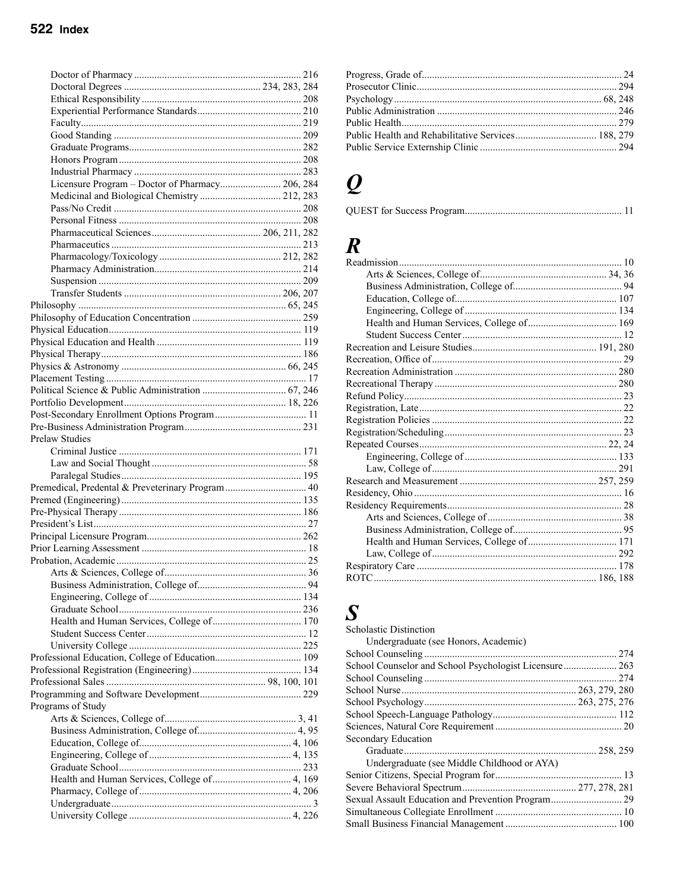| Medicinal and Biological Chemistry  212, 283      |  |  |
|---------------------------------------------------|--|--|
|                                                   |  |  |
|                                                   |  |  |
|                                                   |  |  |
|                                                   |  |  |
|                                                   |  |  |
|                                                   |  |  |
|                                                   |  |  |
|                                                   |  |  |
|                                                   |  |  |
|                                                   |  |  |
|                                                   |  |  |
|                                                   |  |  |
|                                                   |  |  |
|                                                   |  |  |
|                                                   |  |  |
|                                                   |  |  |
|                                                   |  |  |
|                                                   |  |  |
|                                                   |  |  |
|                                                   |  |  |
| <b>Prelaw Studies</b>                             |  |  |
|                                                   |  |  |
|                                                   |  |  |
|                                                   |  |  |
|                                                   |  |  |
| Premedical, Predental & Preveterinary Program  40 |  |  |
|                                                   |  |  |
|                                                   |  |  |
|                                                   |  |  |
|                                                   |  |  |
|                                                   |  |  |
|                                                   |  |  |
|                                                   |  |  |
|                                                   |  |  |
|                                                   |  |  |
|                                                   |  |  |
|                                                   |  |  |
|                                                   |  |  |
|                                                   |  |  |
|                                                   |  |  |
|                                                   |  |  |
|                                                   |  |  |
|                                                   |  |  |
|                                                   |  |  |
| Programs of Study                                 |  |  |
|                                                   |  |  |
|                                                   |  |  |
|                                                   |  |  |
|                                                   |  |  |
|                                                   |  |  |
|                                                   |  |  |
|                                                   |  |  |
|                                                   |  |  |
|                                                   |  |  |
|                                                   |  |  |
|                                                   |  |  |

#### $\boldsymbol{Q}$

|--|

#### $\boldsymbol{R}$

#### $\boldsymbol{S}$

| <b>Scholastic Distinction</b>                          |  |
|--------------------------------------------------------|--|
| Undergraduate (see Honors, Academic)                   |  |
|                                                        |  |
| School Counselor and School Psychologist Licensure 263 |  |
|                                                        |  |
|                                                        |  |
|                                                        |  |
|                                                        |  |
|                                                        |  |
| Secondary Education                                    |  |
|                                                        |  |
| Undergraduate (see Middle Childhood or AYA)            |  |
|                                                        |  |
|                                                        |  |
|                                                        |  |
|                                                        |  |
|                                                        |  |
|                                                        |  |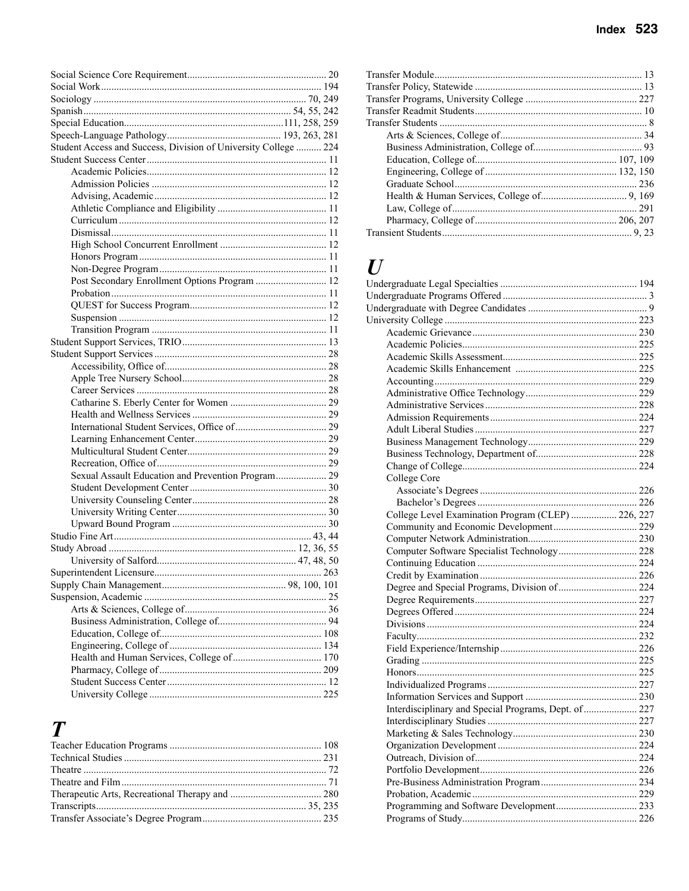| Student Access and Success, Division of University College  224 |  |
|-----------------------------------------------------------------|--|
|                                                                 |  |
|                                                                 |  |
|                                                                 |  |
|                                                                 |  |
|                                                                 |  |
|                                                                 |  |
|                                                                 |  |
|                                                                 |  |
|                                                                 |  |
|                                                                 |  |
| Post Secondary Enrollment Options Program  12                   |  |
|                                                                 |  |
|                                                                 |  |
|                                                                 |  |
|                                                                 |  |
|                                                                 |  |
|                                                                 |  |
|                                                                 |  |
|                                                                 |  |
|                                                                 |  |
|                                                                 |  |
|                                                                 |  |
|                                                                 |  |
|                                                                 |  |
|                                                                 |  |
|                                                                 |  |
| Sexual Assault Education and Prevention Program 29              |  |
|                                                                 |  |
|                                                                 |  |
|                                                                 |  |
|                                                                 |  |
|                                                                 |  |
|                                                                 |  |
|                                                                 |  |
|                                                                 |  |
|                                                                 |  |
|                                                                 |  |
|                                                                 |  |
|                                                                 |  |
|                                                                 |  |
|                                                                 |  |
|                                                                 |  |
|                                                                 |  |
|                                                                 |  |
|                                                                 |  |

#### $\boldsymbol{T}$

| $\bm{I}$                                              |  |
|-------------------------------------------------------|--|
|                                                       |  |
|                                                       |  |
|                                                       |  |
|                                                       |  |
|                                                       |  |
|                                                       |  |
|                                                       |  |
|                                                       |  |
|                                                       |  |
|                                                       |  |
|                                                       |  |
|                                                       |  |
|                                                       |  |
|                                                       |  |
|                                                       |  |
|                                                       |  |
| College Core                                          |  |
|                                                       |  |
|                                                       |  |
| College Level Examination Program (CLEP)  226, 227    |  |
|                                                       |  |
|                                                       |  |
|                                                       |  |
|                                                       |  |
|                                                       |  |
|                                                       |  |
|                                                       |  |
|                                                       |  |
|                                                       |  |
|                                                       |  |
|                                                       |  |
|                                                       |  |
|                                                       |  |
|                                                       |  |
|                                                       |  |
| Interdisciplinary and Special Programs, Dept. of  227 |  |
|                                                       |  |
|                                                       |  |
|                                                       |  |
|                                                       |  |
|                                                       |  |
|                                                       |  |
|                                                       |  |
|                                                       |  |
|                                                       |  |
|                                                       |  |